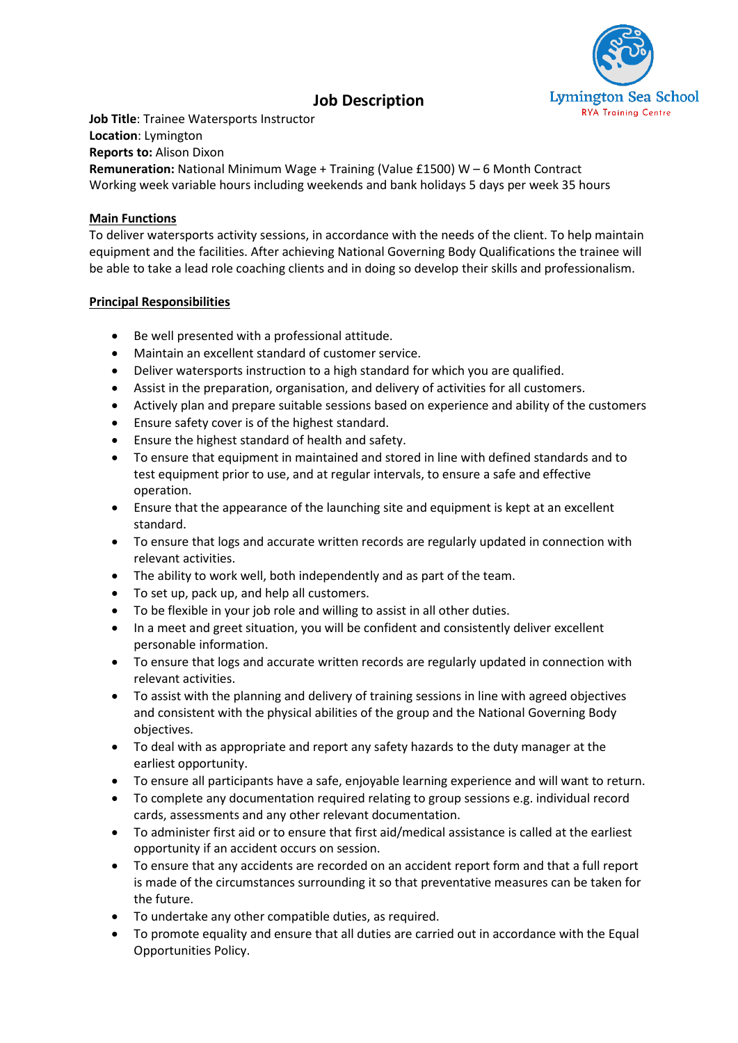

# **Job Description**

**Job Title**: Trainee Watersports Instructor **Location**: Lymington **Reports to:** Alison Dixon **Remuneration:** National Minimum Wage + Training (Value £1500) W – 6 Month Contract Working week variable hours including weekends and bank holidays 5 days per week 35 hours

## **Main Functions**

To deliver watersports activity sessions, in accordance with the needs of the client. To help maintain equipment and the facilities. After achieving National Governing Body Qualifications the trainee will be able to take a lead role coaching clients and in doing so develop their skills and professionalism.

## **Principal Responsibilities**

- Be well presented with a professional attitude.
- Maintain an excellent standard of customer service.
- Deliver watersports instruction to a high standard for which you are qualified.
- Assist in the preparation, organisation, and delivery of activities for all customers.
- Actively plan and prepare suitable sessions based on experience and ability of the customers
- Ensure safety cover is of the highest standard.
- Ensure the highest standard of health and safety.
- To ensure that equipment in maintained and stored in line with defined standards and to test equipment prior to use, and at regular intervals, to ensure a safe and effective operation.
- Ensure that the appearance of the launching site and equipment is kept at an excellent standard.
- To ensure that logs and accurate written records are regularly updated in connection with relevant activities.
- The ability to work well, both independently and as part of the team.
- To set up, pack up, and help all customers.
- To be flexible in your job role and willing to assist in all other duties.
- In a meet and greet situation, you will be confident and consistently deliver excellent personable information.
- To ensure that logs and accurate written records are regularly updated in connection with relevant activities.
- To assist with the planning and delivery of training sessions in line with agreed objectives and consistent with the physical abilities of the group and the National Governing Body objectives.
- To deal with as appropriate and report any safety hazards to the duty manager at the earliest opportunity.
- To ensure all participants have a safe, enjoyable learning experience and will want to return.
- To complete any documentation required relating to group sessions e.g. individual record cards, assessments and any other relevant documentation.
- To administer first aid or to ensure that first aid/medical assistance is called at the earliest opportunity if an accident occurs on session.
- To ensure that any accidents are recorded on an accident report form and that a full report is made of the circumstances surrounding it so that preventative measures can be taken for the future.
- To undertake any other compatible duties, as required.
- To promote equality and ensure that all duties are carried out in accordance with the Equal Opportunities Policy.